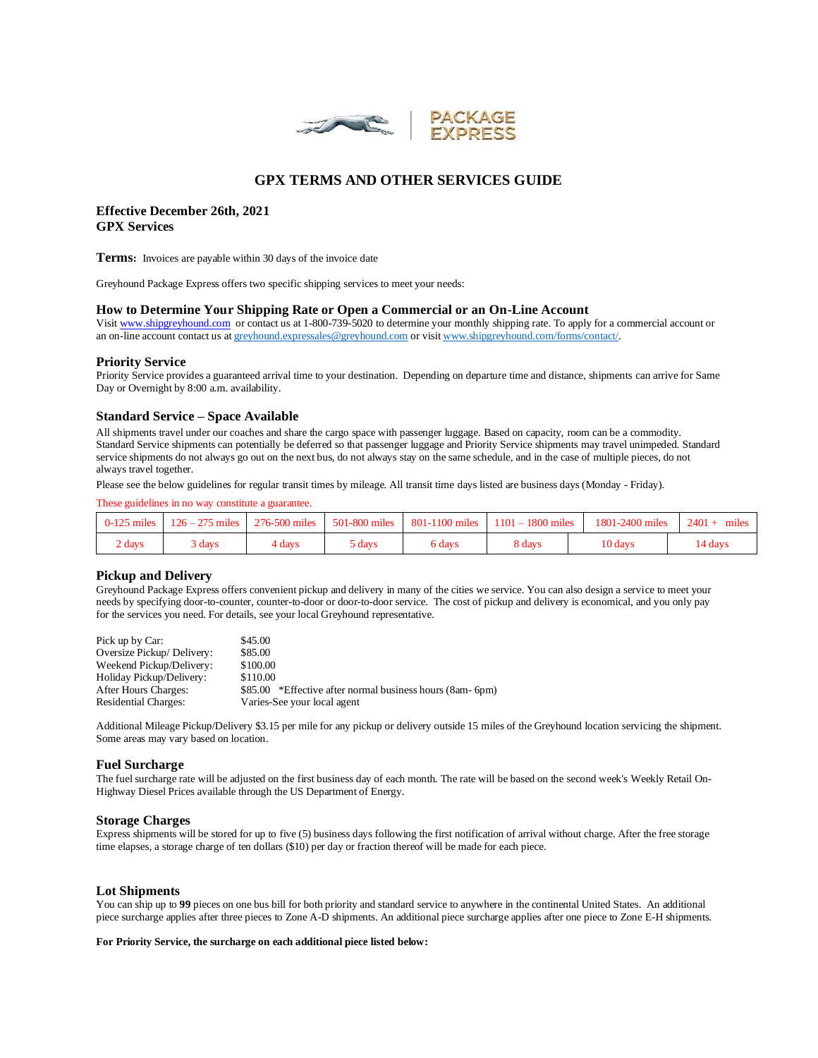

# **GPX TERMS AND OTHER SERVICES GUIDE**

# **Effective December 26th, 2021 GPX Services**

**Terms:** Invoices are payable within 30 days of the invoice date

Greyhound Package Express offers two specific shipping services to meet your needs:

#### **How to Determine Your Shipping Rate or Open a Commercial or an On-Line Account**

Visi[t www.shipgreyhound.com](http://www.shipgreyhound.com/) or contact us at 1-800-739-5020 to determine your monthly shipping rate. To apply for a commercial account or an on-line account contact us a[t greyhound.expressales@greyhound.com](mailto:greyhound.expressales@greyhound.com) or visi[t www.shipgreyhound.com/forms/contact/.](http://www.shipgreyhound.com/forms/contact/)

#### **Priority Service**

Priority Service provides a guaranteed arrival time to your destination. Depending on departure time and distance, shipments can arrive for Same Day or Overnight by 8:00 a.m. availability.

#### **Standard Service – Space Available**

All shipments travel under our coaches and share the cargo space with passenger luggage. Based on capacity, room can be a commodity. Standard Service shipments can potentially be deferred so that passenger luggage and Priority Service shipments may travel unimpeded. Standard service shipments do not always go out on the next bus, do not always stay on the same schedule, and in the case of multiple pieces, do not always travel together.

Please see the below guidelines for regular transit times by mileage. All transit time days listed are business days (Monday - Friday).

These guidelines in no way constitute a guarantee.

| $0-125$ miles | $126 - 275$ miles | 276-500 miles 501-800 miles |        | 801-1100 miles | $1101 - 1800$ miles | 1801-2400 miles | $2401 +$<br>miles |
|---------------|-------------------|-----------------------------|--------|----------------|---------------------|-----------------|-------------------|
| 2 days        | days }            | 4 days                      | days ( | 6 days         | 8 days              | 10 days         | 14 davs           |

### **Pickup and Delivery**

Greyhound Package Express offers convenient pickup and delivery in many of the cities we service. You can also design a service to meet your needs by specifying door-to-counter, counter-to-door or door-to-door service. The cost of pickup and delivery is economical, and you only pay for the services you need. For details, see your local Greyhound representative.

| Pick up by Car:             | \$45.00                                                      |
|-----------------------------|--------------------------------------------------------------|
| Oversize Pickup/Delivery:   | \$85.00                                                      |
| Weekend Pickup/Delivery:    | \$100.00                                                     |
| Holiday Pickup/Delivery:    | \$110.00                                                     |
| After Hours Charges:        | *Effective after normal business hours (8am- 6pm)<br>\$85.00 |
| <b>Residential Charges:</b> | Varies-See your local agent                                  |

Additional Mileage Pickup/Delivery \$3.15 per mile for any pickup or delivery outside 15 miles of the Greyhound location servicing the shipment. Some areas may vary based on location.

### **Fuel Surcharge**

The fuel surcharge rate will be adjusted on the first business day of each month. The rate will be based on the second week's Weekly Retail On-Highway Diesel Prices available through the US Department of Energy.

#### **Storage Charges**

Express shipments will be stored for up to five (5) business days following the first notification of arrival without charge. After the free storage time elapses, a storage charge of ten dollars (\$10) per day or fraction thereof will be made for each piece.

### **Lot Shipments**

You can ship up to 99 pieces on one bus bill for both priority and standard service to anywhere in the continental United States. An additional piece surcharge applies after three pieces to Zone A-D shipments. An additional piece surcharge applies after one piece to Zone E-H shipments.

#### **For Priority Service, the surcharge on each additional piece listed below:**